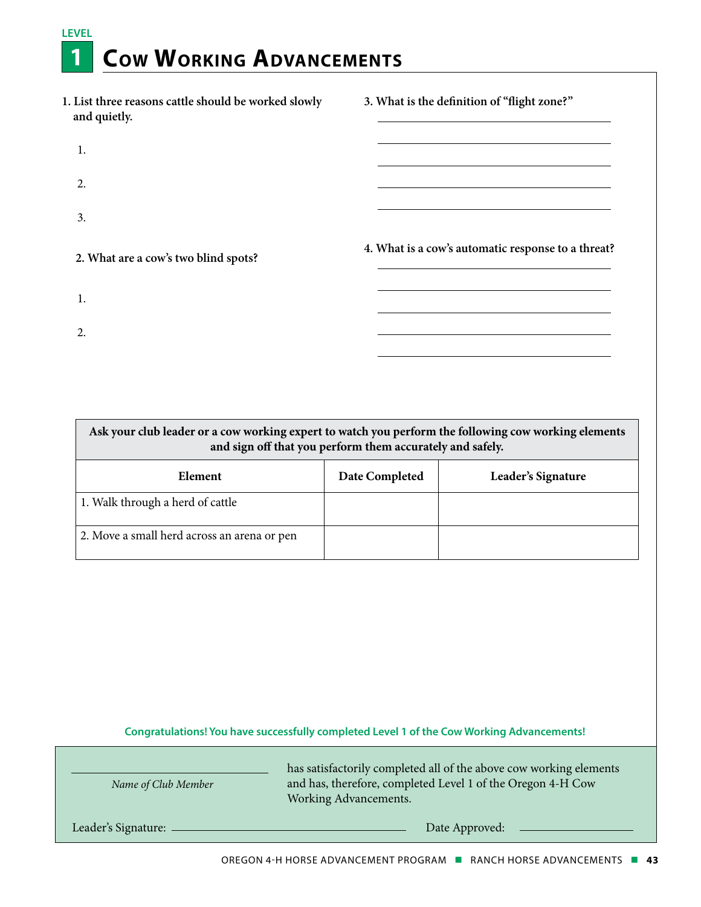## **LEVEL 1 Cow Working Advancements**

| 1. List three reasons cattle should be worked slowly<br>and quietly. | 3. What is the definition of "flight zone?"        |
|----------------------------------------------------------------------|----------------------------------------------------|
| 1.                                                                   |                                                    |
| 2.                                                                   |                                                    |
| 3.                                                                   |                                                    |
| 2. What are a cow's two blind spots?                                 | 4. What is a cow's automatic response to a threat? |
| 1.                                                                   |                                                    |
| 2.                                                                   |                                                    |

| Ask your club leader or a cow working expert to watch you perform the following cow working elements<br>and sign off that you perform them accurately and safely. |                |                    |
|-------------------------------------------------------------------------------------------------------------------------------------------------------------------|----------------|--------------------|
| Element                                                                                                                                                           | Date Completed | Leader's Signature |
| 1. Walk through a herd of cattle                                                                                                                                  |                |                    |
| 2. Move a small herd across an arena or pen                                                                                                                       |                |                    |

| Name of Club Member         | has satisfactorily completed all of the above cow working elements<br>and has, therefore, completed Level 1 of the Oregon 4-H Cow<br>Working Advancements. |
|-----------------------------|------------------------------------------------------------------------------------------------------------------------------------------------------------|
| Leader's Signature: _______ | Date Approved:                                                                                                                                             |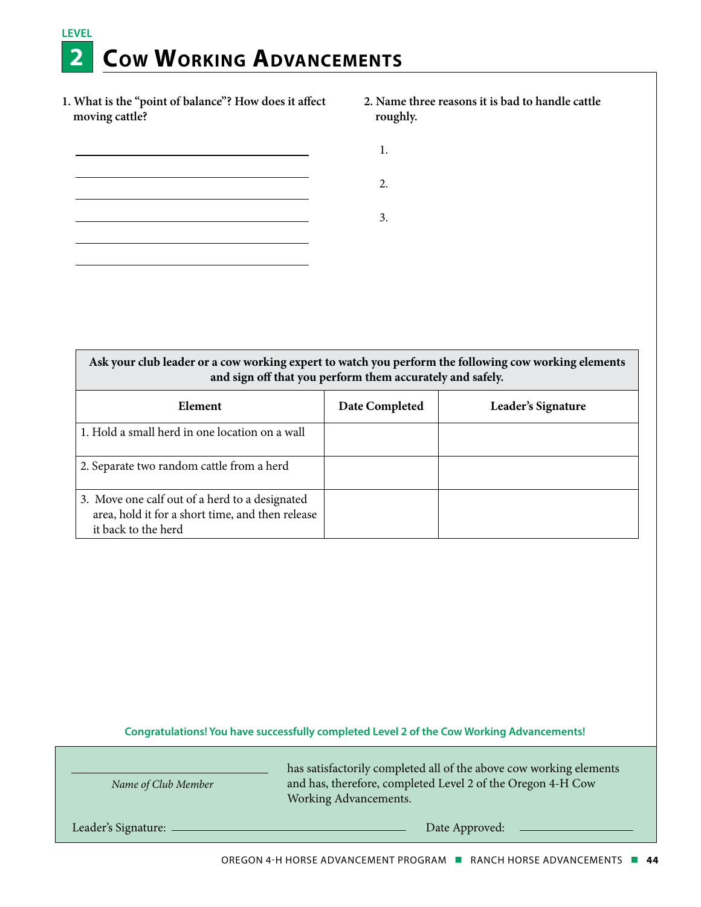## **LEVEL 2 Cow Working Advancements**

**1. What is the "point of balance"? How does it affect moving cattle?** 

 $\overline{a}$ 

- **2. Name three reasons it is bad to handle cattle roughly.** 
	- 1.
		-
	- 3.

2.

**Ask your club leader or a cow working expert to watch you perform the following cow working elements and sign off that you perform them accurately and safely.**

| Element                                                                                                                   | Date Completed | Leader's Signature |
|---------------------------------------------------------------------------------------------------------------------------|----------------|--------------------|
| 1. Hold a small herd in one location on a wall                                                                            |                |                    |
| 2. Separate two random cattle from a herd                                                                                 |                |                    |
| 3. Move one calf out of a herd to a designated<br>area, hold it for a short time, and then release<br>it back to the herd |                |                    |

**Congratulations! You have successfully completed Level 2 of the Cow Working Advancements!**

| Name of Club Member | has satisfactorily completed all of the above cow working elements<br>and has, therefore, completed Level 2 of the Oregon 4-H Cow<br>Working Advancements. |
|---------------------|------------------------------------------------------------------------------------------------------------------------------------------------------------|
| Leader's Signature: | Date Approved:                                                                                                                                             |